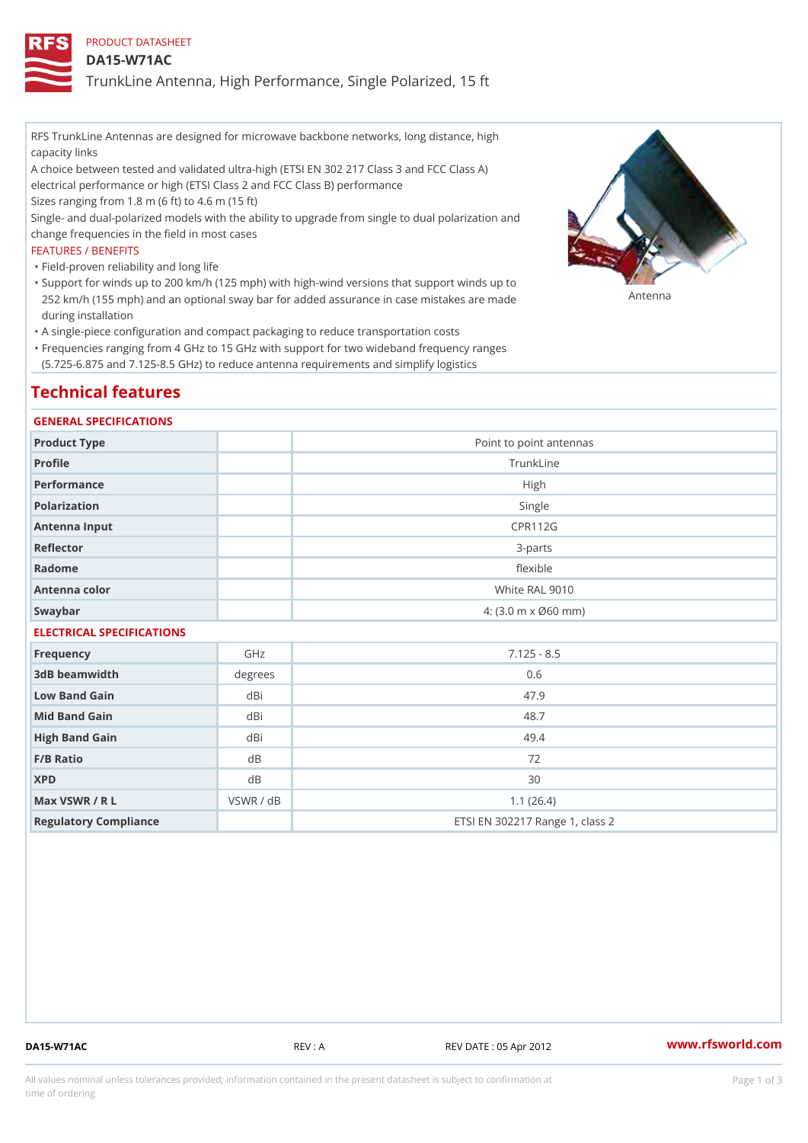# PRODUCT DATASHEET

## DA15-W71AC

TrunkLine Antenna, High Performance, Single Polarized, 15 ft

RFS TrunkLine Antennas are designed for microwave backbone networks, long distance, high capacity links

A choice between tested and validated ultra-high (ETSI EN 302 217 Class 3 and FCC Class A) electrical performance or high (ETSI Class 2 and FCC Class B) performance

Sizes ranging from 1.8 m (6 ft) to 4.6 m (15 ft)

Single- and dual-polarized models with the ability to upgrade from single to dual polarization and change frequencies in the field in most cases

#### FEATURES / BENEFITS

"Field-proven reliability and long life

- Support for winds up to 200 km/h (125 mph) with high-wind versions that support winds up to " 252 km/h (155 mph) and an optional sway bar for added assurance in case m S # \$ R & B are made during installation
- "A single-piece configuration and compact packaging to reduce transportation costs
- Frequencies ranging from 4 GHz to 15 GHz with support for two wideband frequency ranges " (5.725-6.875 and 7.125-8.5 GHz) to reduce antenna requirements and simplify logistics

# Technical features

#### GENERAL SPECIFICATIONS

| Product Type              | Point to point antennas                                 |  |  |  |
|---------------------------|---------------------------------------------------------|--|--|--|
| Profile                   | TrunkLine                                               |  |  |  |
| Performance               | High                                                    |  |  |  |
| Polarization              | Single                                                  |  |  |  |
| Antenna Input             | CPR112G                                                 |  |  |  |
| Reflector                 | $3 - p$ arts                                            |  |  |  |
| Radome                    | flexible                                                |  |  |  |
| Antenna color             | White RAL 9010                                          |  |  |  |
| Swaybar                   | $4: (3.0 \, \text{m} \times \emptyset 60 \, \text{mm})$ |  |  |  |
| FIFCTRICAL SPECIFICATIONS |                                                         |  |  |  |

| LLLVINIONL OI LOII IONIIONO |           |                                 |  |  |
|-----------------------------|-----------|---------------------------------|--|--|
| Frequency                   | GHz       | $7.125 - 8.5$                   |  |  |
| 3dB beamwidth               | degrees   | 0.6                             |  |  |
| Low Band Gain               | dBi       | 47.9                            |  |  |
| Mid Band Gain               | dBi       | 48.7                            |  |  |
| High Band Gain              | dBi       | 49.4                            |  |  |
| F/B Ratio                   | d B       | 72                              |  |  |
| <b>XPD</b>                  | d B       | 30                              |  |  |
| Max VSWR / R L              | VSWR / dB | 1.1(26.4)                       |  |  |
| Regulatory Compliance       |           | ETSI EN 302217 Range 1, class 2 |  |  |

DA15-W71AC REV : A REV DATE : 05 Apr 2012 [www.](https://www.rfsworld.com)rfsworld.com

All values nominal unless tolerances provided; information contained in the present datasheet is subject to Pcapgeign mation time of ordering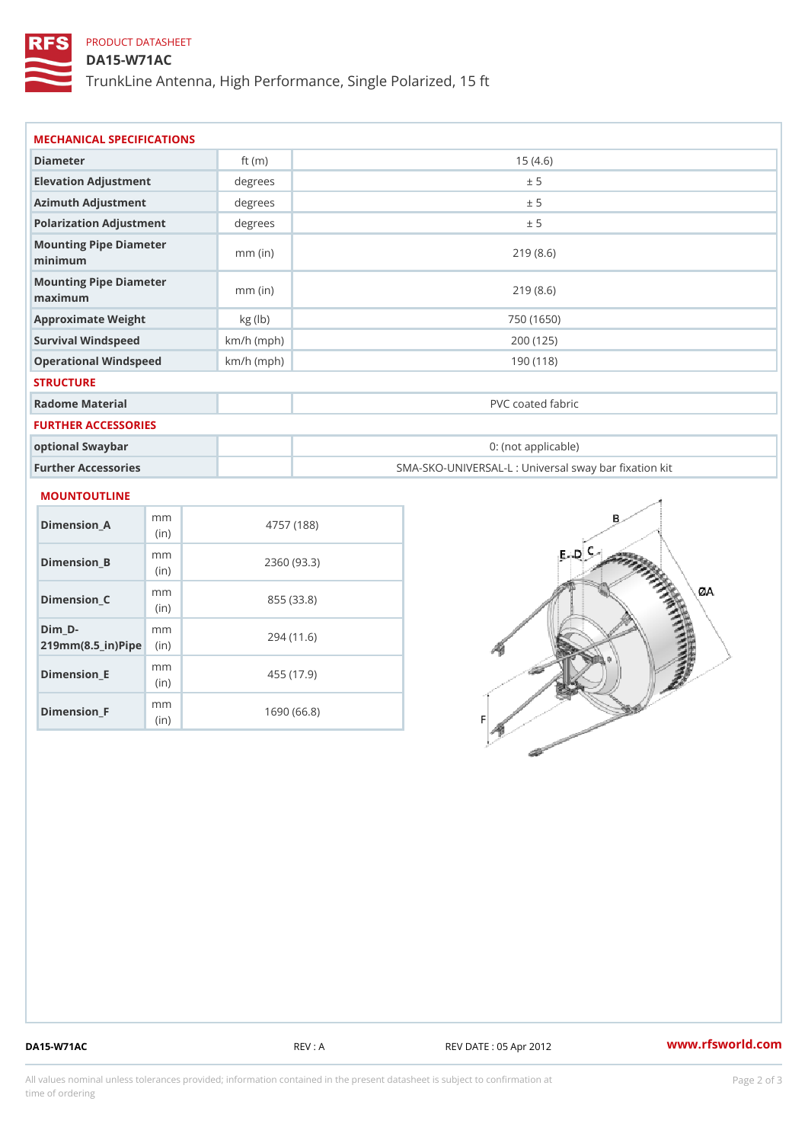# PRODUCT DATASHEET

# DA15-W71AC

TrunkLine Antenna, High Performance, Single Polarized, 15 ft

| Diameter                           | ft $(m)$     | 15(4.6)                                           |
|------------------------------------|--------------|---------------------------------------------------|
| Elevation Adjustment               | degree       | ± 5                                               |
| Azimuth Adjustment                 | degrees      | ± 5                                               |
| Polarization Adjustment            | degrees      | ± 5                                               |
| Mounting Pipe Diameter<br>minimaum | $mm$ (in)    | 219(8.6)                                          |
| Mounting Pipe Diameter<br>maximum  | $mm$ (in)    | 219(8.6)                                          |
| Approximate Weight                 | kg (lb)      | 750 (1650)                                        |
| Survival Windspeed                 | $km/h$ (mph) | 200 (125)                                         |
| Operational Windspeed              | $km/h$ (mph) | 190 (118)                                         |
| <b>STRUCTURE</b>                   |              |                                                   |
| Radome Material                    |              | PVC coated fabric                                 |
| FURTHER ACCESSORIES                |              |                                                   |
| optional Swaybar                   |              | 0: (not applicable)                               |
| Further Accessories                |              | SMA-SKO-UNIVERSAL-L : Universal sway bar fixation |

| Dimension A                                           | m m<br>(i n) | 4757 (188)  |
|-------------------------------------------------------|--------------|-------------|
| Dimension B                                           | m m<br>(i n) | 2360 (93.3) |
| Dimension C                                           | m m<br>(i n) | 855 (33.8)  |
| $Dim_b - D -$<br>$219$ m m $(8.5$ in $)$ P iip $\geq$ | m m          | 294 (11.6)  |
| Dimension E                                           | m m<br>(in)  | 455 (17.9)  |
| Dimension <sub>_F</sub>                               | m m<br>(in   | 1690 (66.8) |

DA15-W71AC REV : A REV DATE : 05 Apr 2012 [www.](https://www.rfsworld.com)rfsworld.com